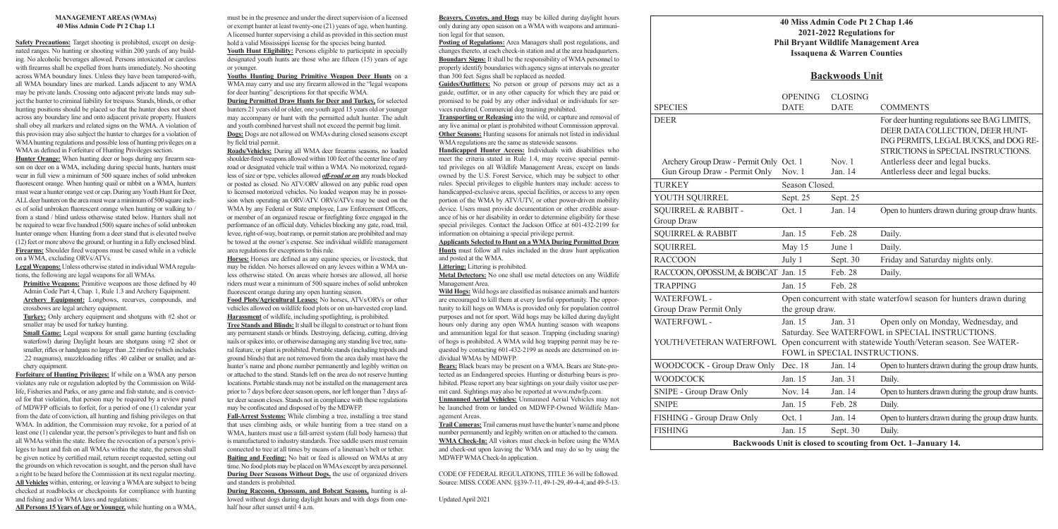## **40 Miss Admin Code Pt 2 Chap 1.46 2021-2022 Regulations for Phil Bryant Wildlife Management Area Issaquena & Warren Counties**

|                                         | 2021-2022 Regulations for<br><b>Phil Bryant Wildlife Management</b><br><b>Issaquena &amp; Warren Counties</b> |                                                                               |                                                      |
|-----------------------------------------|---------------------------------------------------------------------------------------------------------------|-------------------------------------------------------------------------------|------------------------------------------------------|
|                                         | <b>Backwoods Unit</b>                                                                                         |                                                                               |                                                      |
| <b>SPECIES</b>                          | <b>OPENING</b><br><b>DATE</b>                                                                                 | <b>CLOSING</b><br><b>DATE</b>                                                 | <b>COM</b>                                           |
| <b>DEER</b>                             |                                                                                                               |                                                                               | For de<br><b>DEER</b><br><b>INGP</b><br><b>STRIC</b> |
| Archery Group Draw - Permit Only Oct. 1 |                                                                                                               | Nov. $1$                                                                      | Antler                                               |
| Gun Group Draw - Permit Only            | Nov. $1$                                                                                                      | Jan. 14                                                                       | Antlei                                               |
| <b>TURKEY</b>                           | Season Closed.                                                                                                |                                                                               |                                                      |
| YOUTH SQUIRREL                          | Sept. 25                                                                                                      | Sept. 25                                                                      |                                                      |
| SQUIRREL & RABBIT -<br>Group Draw       | Oct. 1                                                                                                        | Jan. 14                                                                       | Open <sub>1</sub>                                    |
| <b>SQUIRREL &amp; RABBIT</b>            | Jan. 15                                                                                                       | Feb. 28                                                                       | Daily.                                               |
| <b>SQUIRREL</b>                         | May 15                                                                                                        | June 1                                                                        | Daily.                                               |
| <b>RACCOON</b>                          | July 1                                                                                                        | Sept. 30                                                                      | Friday                                               |
| RACCOON, OPOSSUM, & BOBCAT Jan. 15      |                                                                                                               | Feb. 28                                                                       | Daily.                                               |
| <b>TRAPPING</b>                         | Jan. 15                                                                                                       | Feb. 28                                                                       |                                                      |
| WATERFOWL -<br>Group Draw Permit Only   | Open concurrent with state waterfo<br>the group draw.                                                         |                                                                               |                                                      |
| WATERFOWL -<br>YOUTH/VETERAN WATERFOWL  | Jan. 15                                                                                                       | Jan. 31<br>Saturday. See WATERFOWL in Sl<br>Open concurrent with statewide Yo | Open                                                 |
|                                         |                                                                                                               | FOWL in SPECIAL INSTRUCTIO                                                    |                                                      |
| WOODCOCK - Group Draw Only              | Dec. 18                                                                                                       | Jan. 14                                                                       | Open t                                               |
| <b>WOODCOCK</b>                         | Jan. 15                                                                                                       | Jan. 31                                                                       | Daily.                                               |
| SNIPE - Group Draw Only                 | Nov. 14                                                                                                       | Jan. 14                                                                       | Open t                                               |
| <b>SNIPE</b>                            | Jan. 15                                                                                                       | Feb. 28                                                                       | Daily.                                               |
| FISHING - Group Draw Only               | Oct. 1                                                                                                        | Jan. 14                                                                       | Open t                                               |
| <b>FISHING</b>                          | Jan. 15                                                                                                       | Sept. 30                                                                      | Daily.                                               |
|                                         |                                                                                                               | Backwoods Unit is closed to scouting from Oc                                  |                                                      |

## **Backwoods Unit**

| <b>SPECIES</b>                                               | <b>OPENING</b><br><b>DATE</b>                                                                                                                                                                                       | <b>CLOSING</b><br><b>DATE</b> | <b>COMMENTS</b>                                                                                                                                                  |  |  |
|--------------------------------------------------------------|---------------------------------------------------------------------------------------------------------------------------------------------------------------------------------------------------------------------|-------------------------------|------------------------------------------------------------------------------------------------------------------------------------------------------------------|--|--|
| <b>DEER</b>                                                  |                                                                                                                                                                                                                     |                               | For deer hunting regulations see BAG LIMITS,<br>DEER DATA COLLECTION, DEER HUNT-<br>ING PERMITS, LEGAL BUCKS, and DOG RE-<br>STRICTIONS in SPECIAL INSTRUCTIONS. |  |  |
| Archery Group Draw - Permit Only Oct. 1                      |                                                                                                                                                                                                                     | Nov. $1$                      | Antlerless deer and legal bucks.                                                                                                                                 |  |  |
| Gun Group Draw - Permit Only                                 | Nov. 1                                                                                                                                                                                                              | Jan. 14                       | Antlerless deer and legal bucks.                                                                                                                                 |  |  |
| <b>TURKEY</b>                                                | Season Closed.                                                                                                                                                                                                      |                               |                                                                                                                                                                  |  |  |
| YOUTH SQUIRREL                                               | Sept. 25                                                                                                                                                                                                            | Sept. 25                      |                                                                                                                                                                  |  |  |
| <b>SQUIRREL &amp; RABBIT -</b><br>Group Draw                 | Oct. 1                                                                                                                                                                                                              | Jan. 14                       | Open to hunters drawn during group draw hunts.                                                                                                                   |  |  |
| <b>SQUIRREL &amp; RABBIT</b>                                 | Jan. 15                                                                                                                                                                                                             | Feb. 28                       | Daily.                                                                                                                                                           |  |  |
| <b>SQUIRREL</b>                                              | May 15                                                                                                                                                                                                              | June 1                        | Daily.                                                                                                                                                           |  |  |
| <b>RACCOON</b>                                               | July 1                                                                                                                                                                                                              | Sept. 30                      | Friday and Saturday nights only.                                                                                                                                 |  |  |
| RACCOON, OPOSSUM, & BOBCAT Jan. 15                           |                                                                                                                                                                                                                     | Feb. 28                       | Daily.                                                                                                                                                           |  |  |
| <b>TRAPPING</b>                                              | Jan. 15                                                                                                                                                                                                             | Feb. 28                       |                                                                                                                                                                  |  |  |
| <b>WATERFOWL-</b><br>Group Draw Permit Only                  | Open concurrent with state waterfowl season for hunters drawn during<br>the group draw.                                                                                                                             |                               |                                                                                                                                                                  |  |  |
| WATERFOWL-<br>YOUTH/VETERAN WATERFOWL                        | Jan. 15<br>Open only on Monday, Wednesday, and<br>Jan. $31$<br>Saturday. See WATERFOWL in SPECIAL INSTRUCTIONS.<br>Open concurrent with statewide Youth/Veteran season. See WATER-<br>FOWL in SPECIAL INSTRUCTIONS. |                               |                                                                                                                                                                  |  |  |
| WOODCOCK - Group Draw Only Dec. 18                           |                                                                                                                                                                                                                     | Jan. 14                       | Open to hunters drawn during the group draw hunts.                                                                                                               |  |  |
| <b>WOODCOCK</b>                                              | Jan. 15                                                                                                                                                                                                             | Jan. 31                       | Daily.                                                                                                                                                           |  |  |
| <b>SNIPE - Group Draw Only</b>                               | Nov. 14                                                                                                                                                                                                             | Jan. 14                       | Open to hunters drawn during the group draw hunts.                                                                                                               |  |  |
| <b>SNIPE</b>                                                 | Jan. 15                                                                                                                                                                                                             | Feb. 28                       | Daily.                                                                                                                                                           |  |  |
| FISHING - Group Draw Only                                    | Oct. 1                                                                                                                                                                                                              | Jan. 14                       | Open to hunters drawn during the group draw hunts.                                                                                                               |  |  |
| FISHING                                                      | Jan. 15                                                                                                                                                                                                             | Sept. 30                      | Daily.                                                                                                                                                           |  |  |
| Backwoods Unit is closed to scouting from Oct. 1-January 14. |                                                                                                                                                                                                                     |                               |                                                                                                                                                                  |  |  |

#### **MANAGEMENT AREAS (WMAs) 40 Miss Admin Code Pt 2 Chap 1.1**

**Primitive Weapons:** Primitive weapons are those defined by 40 Admin Code Part 4, Chap. 1, Rule 1.3 and Archery Equipment. **Archery Equipment:** Longbows, recurves, compounds, and crossbows are legal archery equipment.

**Small Game:** Legal weapons for small game hunting (excluding waterfowl) during Daylight hours are shotguns using #2 shot or smaller, rifles or handguns no larger than .22 rimfire (which includes .22 magnums), muzzleloading rifles .40 caliber or smaller, and archery equipment.

**Safety Precautions:** Target shooting is prohibited, except on designated ranges. No hunting or shooting within 200 yards of any building. No alcoholic beverages allowed. Persons intoxicated or careless with firearms shall be expelled from hunts immediately. No shooting across WMA boundary lines. Unless they have been tampered-with, all WMA boundary lines are marked. Lands adjacent to any WMA may be private lands. Crossing onto adjacent private lands may subject the hunter to criminal liability for trespass. Stands, blinds, or other hunting positions should be placed so that the hunter does not shoot across any boundary line and onto adjacent private property. Hunters shall obey all markers and related signs on the WMA. A violation of this provision may also subject the hunter to charges for a violation of WMA hunting regulations and possible loss of hunting privileges on a WMA as defined in Forfeiture of Hunting Privileges section.

Youth Hunt Eligibility: Persons eligible to participate in specially designated youth hunts are those who are fifteen (15) years of age or younger.

**Hunter Orange:** When hunting deer or hogs during any firearm season on deer on a WMA, including during special hunts, hunters must wear in full view a minimum of 500 square inches of solid unbroken fluorescent orange. When hunting quail or rabbit on a WMA, hunters must wear a hunter orange vest or cap. During any Youth Hunt for Deer, ALL deer hunters on the area must wear a minimum of 500 square inches of solid unbroken fluorescent orange when hunting or walking to / from a stand / blind unless otherwise stated below. Hunters shall not be required to wear five hundred (500) square inches of solid unbroken hunter orange when: Hunting from a deer stand that is elevated twelve (12) feet or more above the ground; or hunting in a fully enclosed blind. **Firearms:** Shoulder fired weapons must be cased while in a vehicle on a WMA, excluding ORVs/ATVs.

**Legal Weapons:** Unless otherwise stated in individual WMA regulations, the following are legal weapons for all WMAs.

**Turkey:** Only archery equipment and shotguns with #2 shot or smaller may be used for turkey hunting.

> **During Raccoon, Opossum, and Bobcat Seasons,** hunting is allowed without dogs during daylight hours and with dogs from onehalf hour after sunset until 4 a.m.

**Forfeiture of Hunting Privileges:** If while on a WMA any person violates any rule or regulation adopted by the Commission on Wildlife, Fisheries and Parks, or any game and fish statute, and is convicted for that violation, that person may be required by a review panel of MDWFP officials to forfeit, for a period of one (1) calendar year from the date of conviction, all hunting and fishing privileges on that WMA. In addition, the Commission may revoke, for a period of at least one (1) calendar year, the person's privileges to hunt and fish on all WMAs within the state. Before the revocation of a person's privileges to hunt and fish on all WMAs within the state, the person shall be given notice by certified mail, return receipt requested, setting out the grounds on which revocation is sought, and the person shall have a right to be heard before the Commission at its next regular meeting. **All Vehicles** within, entering, or leaving a WMA are subject to being checked at roadblocks or checkpoints for compliance with hunting and fishing and/or WMA laws and regulations.

**All Persons 15 Years of Age or Younger,** while hunting on a WMA,

must be in the presence and under the direct supervision of a licensed or exempt hunter at least twenty-one (21) years of age, when hunting. A licensed hunter supervising a child as provided in this section must hold a valid Mississippi license for the species being hunted.

**Youths Hunting During Primitive Weapon Deer Hunts** on a WMA may carry and use any firearm allowed in the "legal weapons for deer hunting" descriptions for that specific WMA.

**During Permitted Draw Hunts for Deer and Turkey,** for selected hunters 21 years old or older, one youth aged 15 years old or younger may accompany or hunt with the permitted adult hunter. The adult and youth combined harvest shall not exceed the permit bag limit. **Dogs:** Dogs are not allowed on WMAs during closed seasons except by field trial permit.

**Roads/Vehicles:** During all WMA deer firearms seasons, no loaded shoulder-fired weapons allowed within 100 feet of the center line of any road or designated vehicle trail within a WMA. No motorized, regardless of size or type, vehicles allowed *off-road or on* any roads blocked or posted as closed. No ATV/ORV allowed on any public road open to licensed motorized vehicles. No loaded weapon may be in possession when operating an ORV/ATV. ORVs/ATVs may be used on the WMA by any Federal or State employee, Law Enforcement Officers, or member of an organized rescue or firefighting force engaged in the performance of an official duty. Vehicles blocking any gate, road, trail, levee, right-of-way, boat ramp, or permit station are prohibited and may be towed at the owner's expense. See individual wildlife management area regulations for exceptions to this rule.

**Horses:** Horses are defined as any equine species, or livestock, that may be ridden. No horses allowed on any levees within a WMA unless otherwise stated. On areas where horses are allowed, all horse riders must wear a minimum of 500 square inches of solid unbroken fluorescent orange during any open hunting season.

**Food Plots/Agricultural Leases:** No horses, ATVs/ORVs or other vehicles allowed on wildlife food plots or on un-harvested crop land. **Harassment** of wildlife, including spotlighting, is prohibited.

**Tree Stands and Blinds:** It shall be illegal to construct or to hunt from any permanent stands or blinds. Destroying, defacing, cutting, driving nails or spikes into, or otherwise damaging any standing live tree, natural feature, or plant is prohibited. Portable stands (including tripods and ground blinds) that are not removed from the area daily must have the hunter's name and phone number permanently and legibly written on or attached to the stand. Stands left on the area do not reserve hunting locations. Portable stands may not be installed on the management area prior to 7 days before deer season opens, nor left longer than 7 days after deer season closes. Stands not in compliance with these regulations may be confiscated and disposed of by the MDWFP.

**Fall-Arrest Systems:** While climbing a tree, installing a tree stand that uses climbing aids, or while hunting from a tree stand on a WMA, hunters must use a fall-arrest system (full body harness) that is manufactured to industry standards. Tree saddle users must remain connected to tree at all times by means of a lineman's belt or tether. **Baiting and Feeding:** No bait or feed is allowed on WMAs at any time. No food plots may be placed on WMAs except by area personnel. **During Deer Seasons Without Dogs,** the use of organized drivers and standers is prohibited.

**Beavers, Coyotes, and Hogs** may be killed during daylight hours only during any open season on a WMA with weapons and ammunition legal for that season.

**Posting of Regulations:** Area Managers shall post regulations, and changes thereto, at each check-in station and at the area headquarters. **Boundary Signs:** It shall be the responsibility of WMA personnel to properly identify boundaries with agency signs at intervals no greater than 300 feet. Signs shall be replaced as needed.

**Guides/Outfitters:** No person or group of persons may act as a guide, outfitter, or in any other capacity for which they are paid or promised to be paid by any other individual or individuals for services rendered. Commercial dog training prohibited.

**Transporting or Releasing** into the wild, or capture and removal of any live animal or plant is prohibited without Commission approval. **Other Seasons:** Hunting seasons for animals not listed in individual WMA regulations are the same as statewide seasons.

**Handicapped Hunter Access:** Individuals with disabilities who meet the criteria stated in Rule 1.4, may receive special permitted privileges on all Wildlife Management Areas, except on lands owned by the U.S. Forest Service, which may be subject to other rules. Special privileges to eligible hunters may include: access to handicapped-exclusive areas, special facilities, or access to any open portion of the WMA by ATV/UTV, or other power-driven mobility device. Users must provide documentation or other credible assurance of his or her disability in order to determine eligibility for these special privileges. Contact the Jackson Office at 601-432-2199 for information on obtaining a special privilege permit.

#### **Applicants Selected to Hunt on a WMA During Permitted Draw**

**Hunts** must follow all rules included in the draw hunt application and posted at the WMA.

**Littering:** Littering is prohibited.

**Metal Detectors:** No one shall use metal detectors on any Wildlife Management Area.

**Wild Hogs:** Wild hogs are classified as nuisance animals and hunters are encouraged to kill them at every lawful opportunity. The opportunity to kill hogs on WMAs is provided only for population control purposes and not for sport. Wild hogs may be killed during daylight hours only during any open WMA hunting season with weapons and ammunition legal for that season. Trapping (including snaring) of hogs is prohibited. A WMA wild hog trapping permit may be requested by contacting 601-432-2199 as needs are determined on individual WMAs by MDWFP.

**Bears:** Black bears may be present on a WMA. Bears are State-protected as an Endangered species. Hunting or disturbing bears is prohibited. Please report any bear sightings on your daily visitor use permit card. Sightings may also be reported at www.mdwfp.com.

**Unmanned Aerial Vehicles:** Unmanned Aerial Vehicles may not be launched from or landed on MDWFP-Owned Wildlife Management Areas.

**Trail Cameras:** Trail cameras must have the hunter's name and phone number permanently and legibly written on or attached to the camera. **WMA Check-In:** All visitors must check-in before using the WMA and check-out upon leaving the WMA and may do so by using the MDWFP WMA Check-In application.

CODE OF FEDERAL REGULATIONS, TITLE 36 will be followed. Source: MISS. CODE ANN. §§39-7-11, 49-1-29, 49-4-4, and 49-5-13.

Updated April 2021